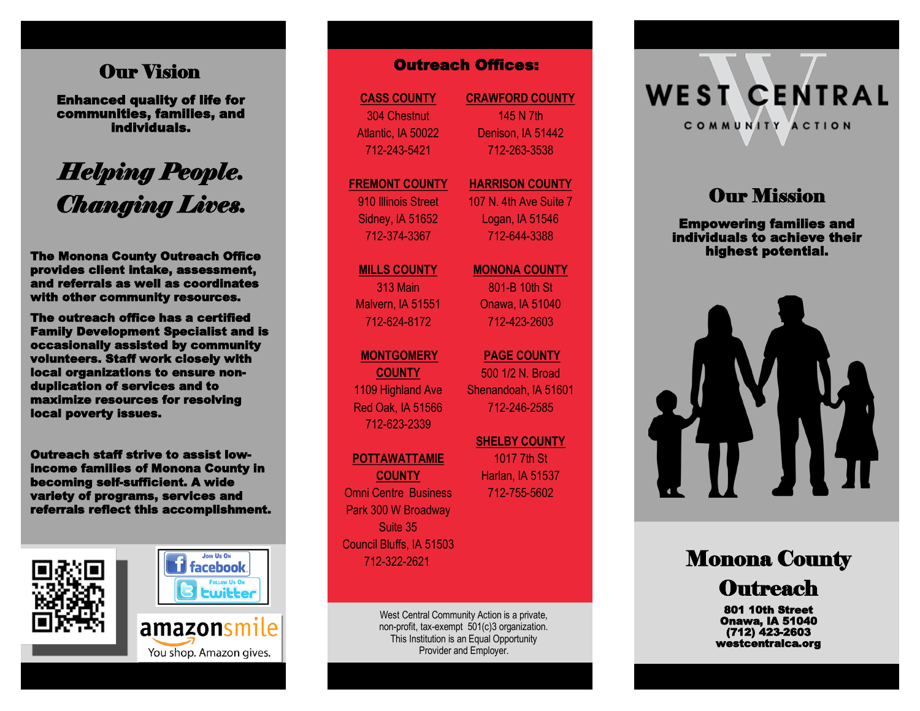## Our Vision

Enhanced quality of life for communities, families, and individuals.

# *Helping People. Changing Lives.*

The Monona County Outreach Office provides client intake, assessment, and referrals as well as coordinates with other community resources.

The outreach office has a certified Family Development Specialist and is occasionally assisted by community volunteers. Staff work closely with local organizations to ensure nonduplication of services and to maximize resources for resolving local poverty issues.

Outreach staff strive to assist lowincome families of Monona County in becoming self-sufficient. A wide variety of programs, services and referrals reflect this accomplishment.







**CASS COUNTY** 304 Chestnut Atlantic, IA 50022 712 -243 -5421

#### **FREMONT COUNTY** 910 Illinois Street

Sidney, IA 51652 712 -374 -3367

**MILLS COUNTY** 313 Main Malvern, IA 51551 712 -624 -8172

#### **MONTGOMERY**

**COUNTY** 1109 Highland Ave Red Oak, IA 51566 712 -623 -2339

#### **POTTAWATTAMIE**

**COUNTY** Omni Centre Business Park 300 W Broadway Suite 35 Council Bluffs, IA 51503 712 -322 -2621

> West Central Community Action is a private, non -profit, tax -exempt 501(c)3 organization. This Institution is an Equal Opportunity Provider and Employer.

**CRAWFORD COUNTY** 145 N 7th Denison, IA 51442 712 -263 -3538

#### **HARRISON COUNTY** 107 N. 4th Ave Suite 7

Logan, IA 51546 712 -644 -3388

#### **MONONA COUNTY**

801 -B 10th St Onawa, IA 51040 712 -423 -2603

**PAGE COUNTY**  500 1/2 N. Broad Shenandoah, IA 51601 712 -246 -2585 **COUNTY CRAWFORD COUNTY**<br>
Chestnut 145 N 7th<br>
145 N 7th<br>
145 N 7th<br>
145 N 7th<br>
145 N 7th<br>
145 N 7th<br>
145 N 7th<br>
145 N 7th<br>
145 N 7th<br>
172-263-3538<br>
NT COUNTY MARRISON COUI<br>
107 N. 4th Ave Su<br>
107 N. 4th Ave Su<br>
107 N. 4th

**SHELBY COUNTY**  1017 7th St Harlan, IA 51537 712 -755

**WEST CENTRAL** COMMUNITY ACTION

# **Our Mission**

Empowering families and individuals to achieve their highest potential.



# **Monona County Outreach**

801 10th Street Onawa, IA 51040 (712) 423 -2603 westcentralca.org

You shop. Amazon gives.